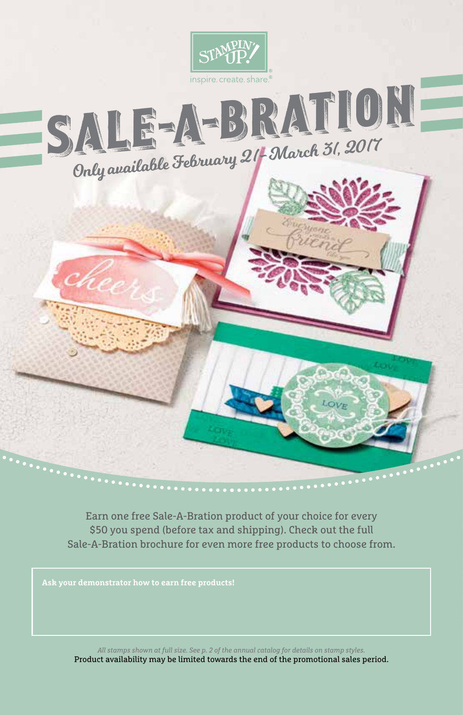

Earn one free Sale-A-Bration product of your choice for every \$50 you spend (before tax and shipping). Check out the full Sale-A-Bration brochure for even more free products to choose from.

**Ask your demonstrator how to earn free products!**

*All stamps shown at full size. See p. 2 of the annual catalog for details on stamp styles.* Product availability may be limited towards the end of the promotional sales period.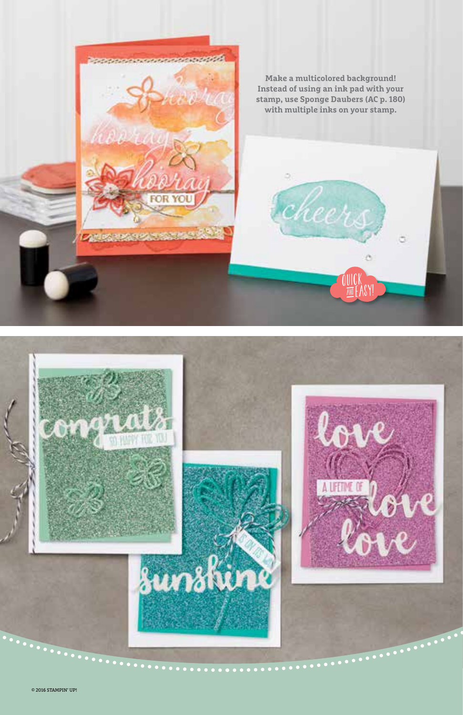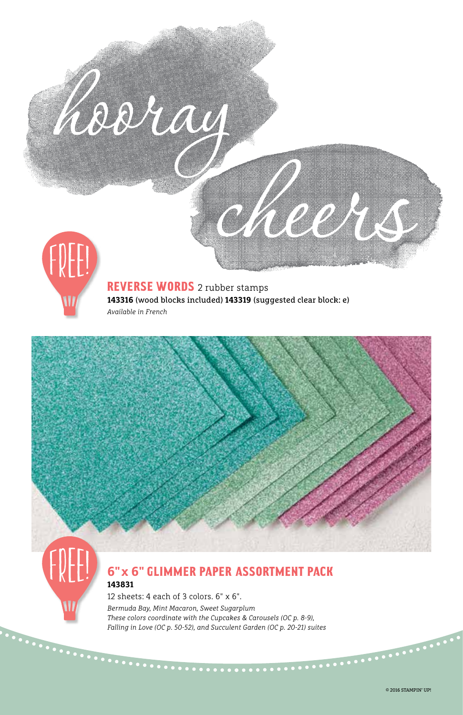

## REVERSE WORDS 2 rubber stamps **143316** (wood blocks included) **143319** (suggested clear block: e) *Available in French*



## **6" x 6"** glimmer paper assortment pack **143831**

12 sheets: 4 each of 3 colors. 6" x 6". *Bermuda Bay, Mint Macaron, Sweet Sugarplum These colors coordinate with the Cupcakes & Carousels (OC p. 8-9), Falling in Love (OC p. 50-52), and Succulent Garden (OC p. 20-21) suites*

. . . . . . . . . . .